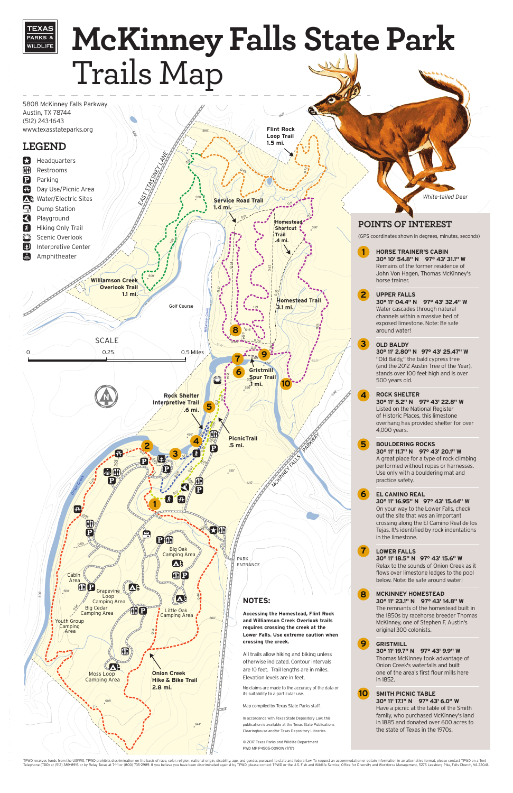

TPWD receives funds from the USFWS. TPWD prohibits discrimination on the basis of race, color, religion, national origin, disability, age, and gender, pursuant to state and federal law. To request an accommodation or obtai Telephone (TDD) at (512) 389-8915 or by Relay Texas at 711 or (800) 735-2989. If you believe you have been discriminated against by TPWD, please contact TPWD or the U.S. Fish and Wildlife Service, Office for Diversity and